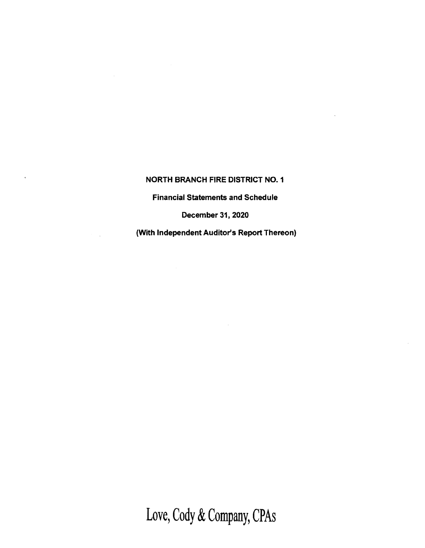Financial Statements and Schedule

December 31, 2020

(With Independent Auditor's Report Thereon)

Love, Cody & Company, CPAs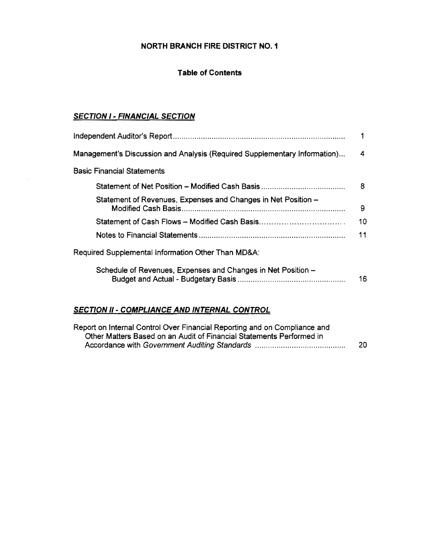### **Table of Contents**

# **SECTION I - FINANCIAL SECTION**

| Management's Discussion and Analysis (Required Supplementary Information) | 4  |
|---------------------------------------------------------------------------|----|
| <b>Basic Financial Statements</b>                                         |    |
|                                                                           | 8  |
| Statement of Revenues, Expenses and Changes in Net Position -             | 9  |
|                                                                           | 10 |
|                                                                           | 11 |
| Required Supplemental Information Other Than MD&A:                        |    |
| Schedule of Revenues, Expenses and Changes in Net Position -              | 16 |

# **SECTION** II - **COMPLIANCE AND INTERNAL CONTROL**

| Report on Internal Control Over Financial Reporting and on Compliance and |    |
|---------------------------------------------------------------------------|----|
| Other Matters Based on an Audit of Financial Statements Performed in      |    |
|                                                                           | 20 |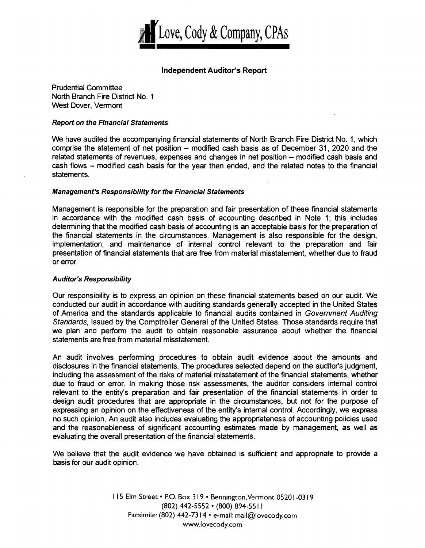

### Independent Auditor's Report

Prudential Committee North Branch Fire District No. 1 West Dover, Vermont

### Report on the Financial Statements

We have audited the accompanying financial statements of North Branch Fire District No. 1, which comprise the statement of net position - modified cash basis as of December 31, 2020 and the related statements of revenues, expenses and changes in net position - modified cash basis and cash flows - modified cash basis for the year then ended, and the related notes to the financial statements.

### Management's Responsibility for the Financial Statements

Management is responsible for the preparation and fair presentation of these financial statements in accordance with the modified cash basis of accounting described in Note 1; this includes determining that the modified cash basis of accounting is an acceptable basis for the preparation of the financial statements in the circumstances. Management is also responsible for the design, implementation, and maintenance of internal control relevant to the preparation and fair presentation of financial statements that are free from material misstatement, whether due to fraud or error.

#### Auditor's Responsibility

Our responsibility is to express an opinion on these financial statements based on our audit. We conducted our audit in accordance with auditing standards generally accepted in the United States of America and the standards applicable to financial audits contained in Government Auditing Standards, issued by the Comptroller General of the United States. Those standards require that we plan and perform the audit to obtain reasonable assurance about whether the financial statements are free from material misstatement.

An audit involves performing procedures to obtain audit evidence about the amounts and disclosures in the financial statements. The procedures selected depend on the auditor's judgment, including the assessment of the risks of material misstatement of the financial statements, whether due to fraud or error. In making those risk assessments, the auditor considers internal control relevant to the entity's preparation and fair presentation of the financial statements in order to design audit procedures that are appropriate in the circumstances, but not for the purpose of expressing an opinion on the effectiveness of the entity's internal control. Accordingly, we express no such opinion. An audit also includes evaluating the appropriateness of accounting policies used and the reasonableness of significant accounting estimates made by management, as well as evaluating the overall presentation of the financial statements.

We believe that the audit evidence we have obtained is sufficient and appropriate to provide a basis for our audit opinion.

> 115 Elm Street• P.O. Box 319 • Bennington.Vermont 05201-0319 (802) 442-5552 • (800) 894-55 I I Facsimile: (802) 442-7314 • e-mail: mail@lovecody.com www.lovecody.com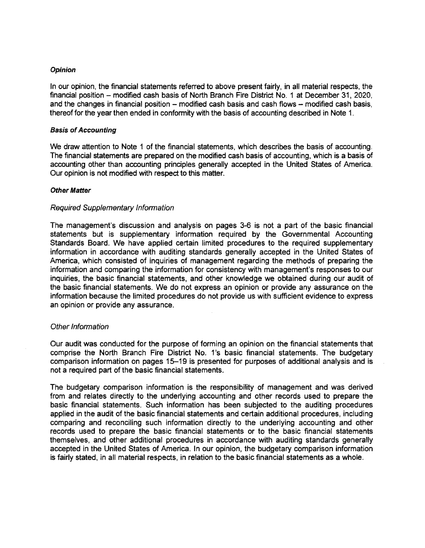### **Opinion**

In our opinion, the financial statements referred to above present fairly, in all material respects, the financial position - modified cash basis of North Branch Fire District No. 1 at December 31, 2020, and the changes in financial position - modified cash basis and cash flows - modified cash basis, thereof for the year then ended in conformity with the basis of accounting described in Note 1.

### Basis of Accounting

We draw attention to Note 1 of the financial statements, which describes the basis of accounting. The financial statements are prepared on the modified cash basis of accounting, which is a basis of accounting other than accounting principles generally accepted in the United States of America. Our opinion is not modified with respect to this matter.

### Other Matter

### **Required Supplementary Information**

The management's discussion and analysis on pages 3-6 is not a part of the basic financial statements but is supplementary information required by the Governmental Accounting Standards Board. We have applied certain limited procedures to the required supplementary information in accordance with auditing standards generally accepted in the United States of America, which consisted of inquiries of management regarding the methods of preparing the information and comparing the information for consistency with management's responses to our inquiries, the basic financial statements, and other knowledge we obtained during our audit of the basic financial statements. We do not express an opinion or provide any assurance on the information because the limited procedures do not provide us with sufficient evidence to express an opinion or provide any assurance.

#### Other Information

Our audit was conducted for the purpose of forming an opinion on the financial statements that comprise the North Branch Fire District No. 1 's basic financial statements. The budgetary comparison information on pages 15-19 is presented for purposes of additional analysis and is not a required part of the basic financial statements.

The budgetary comparison information is the responsibility of management and was derived from and relates directly to the underlying accounting and other records used to prepare the basic financial statements. Such information has been subjected to the auditing procedures applied in the audit of the basic financial statements and certain additional procedures, including comparing and reconciling such information directly to the underlying accounting and other records used to prepare the basic financial statements or to the basic financial statements themselves, and other additional procedures in accordance with auditing standards generally accepted in the United States of America. In our opinion, the budgetary comparison information is fairly stated, in all material respects, in relation to the basic financial statements as a whole.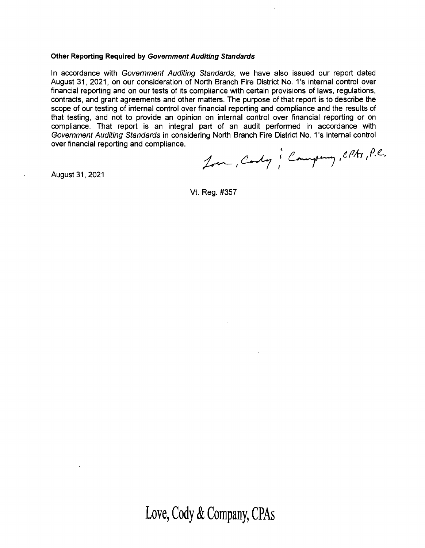#### Other Reporting Required by Government Auditing Standards

In accordance with Government Auditing Standards, we have also issued our report dated August 31, 2021, on our consideration of North Branch Fire District No. 1 's internal control over financial reporting and on our tests of its compliance with certain provisions of laws, regulations, contracts, and grant agreements and other matters. The purpose of that report is to describe the scope of our testing of internal control over financial reporting and compliance and the results of that testing, and not to provide an opinion on internal control over financial reporting or on compliance. That report is an integral part of an audit performed in accordance with Government Auditing Standards in considering North Branch Fire District No. 1 's internal control over financial reporting and compliance.

Love, Cody ; Company, CPA3, P.C.

August 31, 2021

Vt. Reg. #357

Love, Cody & Company, CPAs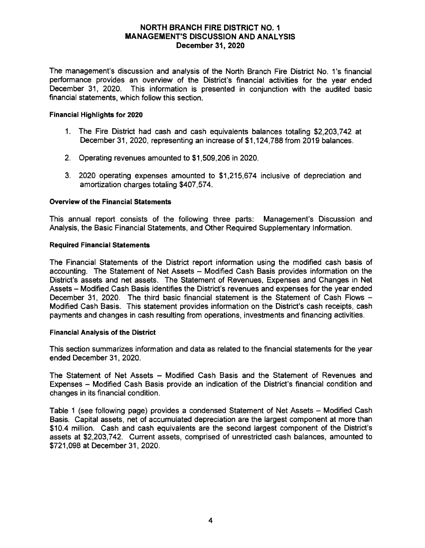### NORTH BRANCH FIRE DISTRICT NO. 1 MANAGEMENT'S DISCUSSION AND ANALYSIS December 31, 2020

The management's discussion and analysis of the North Branch Fire District No. 1 's financial performance provides an overview of the District's financial activities for the year ended December 31, 2020. This information is presented in conjunction with the audited basic financial statements, which follow this section.

### Financial Highlights for 2020

- 1. The Fire District had cash and cash equivalents balances totaling \$2,203,742 at December 31, 2020, representing an increase of \$1,124,788 from 2019 balances.
- 2. Operating revenues amounted to \$1,509,206 in 2020.
- 3. 2020 operating expenses amounted to \$1,215,674 inclusive of depreciation and amortization charges totaling \$407,574.

### Overview of the Financial Statements

This annual report consists of the following three parts: Management's Discussion and Analysis, the Basic Financial Statements, and Other Required Supplementary Information.

### Required Financial Statements

The Financial Statements of the District report information using the modified cash basis of accounting. The Statement of Net Assets - Modified Cash Basis provides information on the District's assets and net assets. The Statement of Revenues, Expenses and Changes in Net Assets - Modified Cash Basis identifies the District's revenues and expenses for the year ended December 31, 2020. The third basic financial statement is the Statement of Cash Flows -Modified Cash Basis. This statement provides information on the District's cash receipts, cash payments and changes in cash resulting from operations, investments and financing activities.

#### Financial Analysis of the District

This section summarizes information and data as related to the financial statements for the year ended December 31, 2020.

The Statement of Net Assets - Modified Cash Basis and the Statement of Revenues and Expenses - Modified Cash Basis provide an indication of the District's financial condition and changes in its financial condition.

Table 1 (see following page) provides a condensed Statement of Net Assets - Modified Cash Basis. Capital assets, net of accumulated depreciation are the largest component at more than \$10.4 million. Cash and cash equivalents are the second largest component of the District's assets at \$2,203,742. Current assets, comprised of unrestricted cash balances, amounted to \$721,098 at December 31, 2020.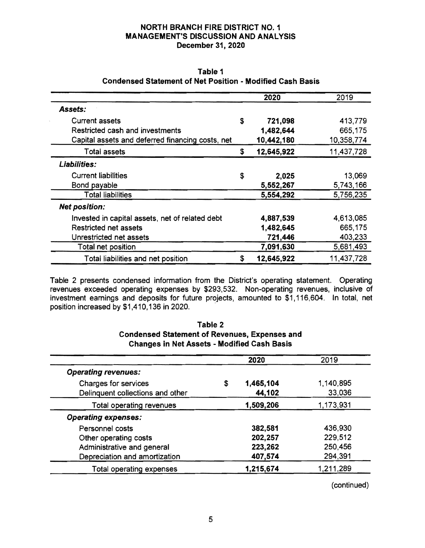### NORTH BRANCH FIRE DISTRICT NO. 1 MANAGEMENT'S DISCUSSION AND ANALYSIS December 31, 2020

|                                                  |    | 2020       | 2019       |
|--------------------------------------------------|----|------------|------------|
| Assets:                                          |    |            |            |
| Current assets                                   | S  | 721,098    | 413,779    |
| Restricted cash and investments                  |    | 1,482,644  | 665,175    |
| Capital assets and deferred financing costs, net |    | 10,442,180 | 10,358,774 |
| Total assets                                     | S  | 12,645,922 | 11,437,728 |
| Liabilities:                                     |    |            |            |
| <b>Current liabilities</b>                       | \$ | 2,025      | 13,069     |
| Bond payable                                     |    | 5,552,267  | 5,743,166  |
| <b>Total liabilities</b>                         |    | 5,554,292  | 5,756,235  |
| <b>Net position:</b>                             |    |            |            |
| Invested in capital assets, net of related debt  |    | 4,887,539  | 4,613,085  |
| <b>Restricted net assets</b>                     |    | 1,482,645  | 665,175    |
| Unrestricted net assets                          |    | 721,446    | 403,233    |
| Total net position                               |    | 7,091,630  | 5,681,493  |
| Total liabilities and net position               | \$ | 12,645,922 | 11,437,728 |

### Table 1 Condensed Statement of Net Position - Modified Cash Basis

Table 2 presents condensed information from the District's operating statement. Operating revenues exceeded operating expenses by \$293,532. Non-operating revenues, inclusive of investment earnings and deposits for future projects, amounted to \$1,116,604. In total, net position increased by \$1,410,136 in 2020.

## Table 2 Condensed Statement of Revenues, Expenses and Changes in Net Assets - Modified Cash Basis

|                                                                                                         |   | 2020                                     | 2019                                     |
|---------------------------------------------------------------------------------------------------------|---|------------------------------------------|------------------------------------------|
| <b>Operating revenues:</b>                                                                              |   |                                          |                                          |
| Charges for services<br>Delinquent collections and other                                                | S | 1,465,104<br>44,102                      | 1,140,895<br>33,036                      |
| Total operating revenues                                                                                |   | 1,509,206                                | 1,173,931                                |
| <b>Operating expenses:</b>                                                                              |   |                                          |                                          |
| Personnel costs<br>Other operating costs<br>Administrative and general<br>Depreciation and amortization |   | 382,581<br>202,257<br>223,262<br>407,574 | 436,930<br>229,512<br>250,456<br>294,391 |
| Total operating expenses                                                                                |   | 1,215,674                                | 1,211,289                                |

(continued)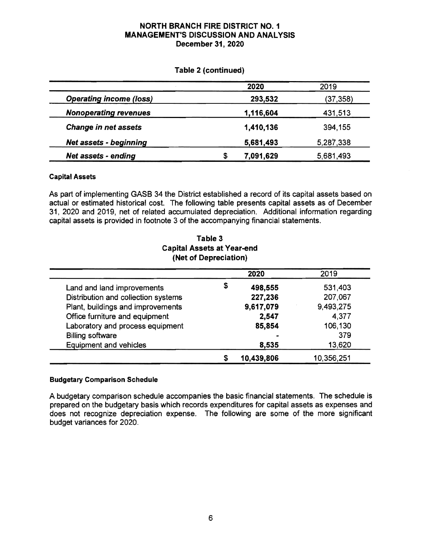### NORTH BRANCH FIRE DISTRICT NO. 1 MANAGEMENT'S DISCUSSION AND ANALYSIS December 31, 2020

### Table 2 (continued)

|                                |   | 2020      | 2019      |
|--------------------------------|---|-----------|-----------|
| <b>Operating income (loss)</b> |   | 293,532   | (37,358)  |
| <b>Nonoperating revenues</b>   |   | 1,116,604 | 431,513   |
| <b>Change in net assets</b>    |   | 1,410,136 | 394,155   |
| <b>Net assets - beginning</b>  |   | 5,681,493 | 5,287,338 |
| <b>Net assets - ending</b>     | S | 7,091,629 | 5,681,493 |

### Capital Assets

As part of implementing GASB 34 the District established a record of its capital assets based on actual or estimated historical cost. The following table presents capital assets as of December 31, 2020 and 2019, net of related accumulated depreciation. Additional information regarding capital assets is provided in footnote 3 of the accompanying financial statements.

### Table 3 Capital Assets at Year-end (Net of Depreciation)

|                                     | 2020          | 2019       |
|-------------------------------------|---------------|------------|
| Land and land improvements          | \$<br>498,555 | 531,403    |
| Distribution and collection systems | 227,236       | 207,067    |
| Plant, buildings and improvements   | 9,617,079     | 9,493,275  |
| Office furniture and equipment      | 2,547         | 4,377      |
| Laboratory and process equipment    | 85,854        | 106,130    |
| <b>Billing software</b>             |               | 379        |
| Equipment and vehicles              | 8,535         | 13,620     |
|                                     | 10,439,806    | 10,356,251 |

### Budgetary Comparison Schedule

A budgetary comparison schedule accompanies the basic financial statements. The schedule is prepared on the budgetary basis which records expenditures for capital assets as expenses and does not recognize depreciation expense. The following are some of the more significant budget variances for 2020.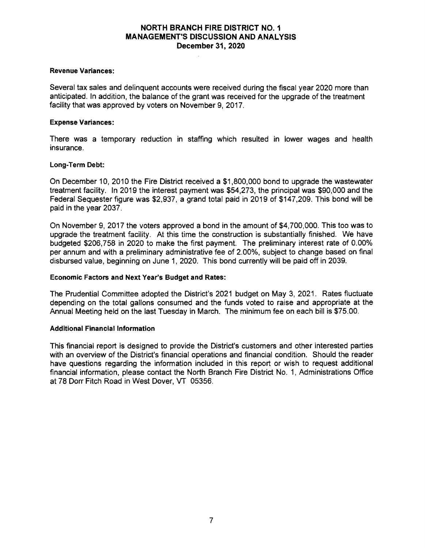### NORTH BRANCH FIRE DISTRICT N0.1 MANAGEMENT'S DISCUSSION AND ANALYSIS December 31, 2020

### Revenue Variances:

Several tax sales and delinquent accounts were received during the fiscal year 2020 more than anticipated. In addition, the balance of the grant was received for the upgrade of the treatment facility that was approved by voters on November 9, 2017.

### Expense Variances:

There was a temporary reduction in staffing which resulted in lower wages and health insurance.

### Long~ Term Debt:

On December 10, 2010 the Fire District received a \$1,800,000 bond to upgrade the wastewater treatment facility. In 2019 the interest payment was \$54,273, the principal was \$90,000 and the Federal Sequester figure was \$2,937, a grand total paid in 2019 of \$147,209. This bond will be paid in the year 2037.

On November 9, 2017 the voters approved a bond in the amount of \$4,700,000. This too was to upgrade the treatment facility. At this time the construction is substantially finished. We have budgeted \$206,758 in 2020 to make the first payment. The preliminary interest rate of 0.00% per annum and with a preliminary administrative fee of 2.00%, subject to change based on final disbursed value, beginning on June 1, 2020. This bond currently will be paid off in 2039.

#### Economic Factors and Next Year's Budget and Rates:

The Prudential Committee adopted the District's 2021 budget on May 3, 2021. Rates fluctuate depending on the total gallons consumed and the funds voted to raise and appropriate at the Annual Meeting held on the last Tuesday in March. The minimum fee on each bill is \$75.00.

#### Additional Financial Information

This financial report is designed to provide the District's customers and other interested parties with an overview of the District's financial operations and financial condition. Should the reader have questions regarding the information included in this report or wish to request additional financial information, please contact the North Branch Fire District No. 1, Administrations Office at 78 Dorr Fitch Road in West Dover, VT 05356.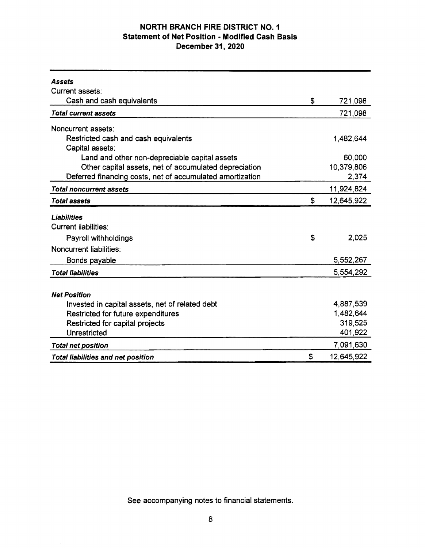## NORTH BRANCH FIRE DISTRICT NO. 1 Statement of Net Position - Modified Cash Basis December 31, 2020

| <b>Assets</b>                                             |    |            |
|-----------------------------------------------------------|----|------------|
| Current assets:                                           |    |            |
| Cash and cash equivalents                                 | \$ | 721,098    |
| <b>Total current assets</b>                               |    | 721,098    |
| Noncurrent assets:                                        |    |            |
| Restricted cash and cash equivalents                      |    | 1,482,644  |
| Capital assets:                                           |    |            |
| Land and other non-depreciable capital assets             |    | 60,000     |
| Other capital assets, net of accumulated depreciation     |    | 10,379,806 |
| Deferred financing costs, net of accumulated amortization |    | 2,374      |
| <b>Total noncurrent assets</b>                            |    | 11,924,824 |
| <b>Total assets</b>                                       | S  | 12,645,922 |
| <b>Liabilities</b>                                        |    |            |
| <b>Current liabilities:</b>                               |    |            |
| Payroll withholdings                                      | \$ | 2,025      |
| Noncurrent liabilities:                                   |    |            |
| Bonds payable                                             |    | 5,552,267  |
| <b>Total liabilities</b>                                  |    | 5,554,292  |
|                                                           |    |            |
| <b>Net Position</b>                                       |    |            |
| Invested in capital assets, net of related debt           |    | 4,887,539  |
| Restricted for future expenditures                        |    | 1,482,644  |
| Restricted for capital projects                           |    | 319,525    |
| Unrestricted                                              |    | 401,922    |
| <b>Total net position</b>                                 |    | 7,091,630  |
| <b>Total liabilities and net position</b>                 | \$ | 12,645,922 |

See accompanying notes to financial statements.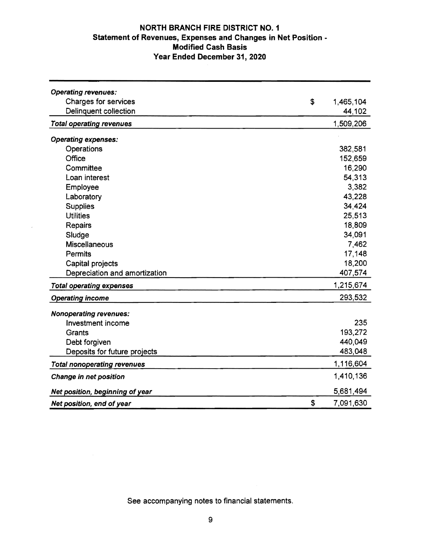# NORTH BRANCH FIRE DISTRICT NO. 1 Statement of Revenues, Expenses and Changes in Net Position - Modified Cash Basis Year Ended December 31, 2020

| <b>Operating revenues:</b>         |                 |
|------------------------------------|-----------------|
| <b>Charges for services</b>        | \$<br>1,465,104 |
| Delinquent collection              | 44,102          |
| <b>Total operating revenues</b>    | 1,509,206       |
| <b>Operating expenses:</b>         |                 |
| Operations                         | 382,581         |
| Office                             | 152,659         |
| Committee                          | 16,290          |
| Loan interest                      | 54,313          |
| Employee                           | 3,382           |
| Laboratory                         | 43,228          |
| <b>Supplies</b>                    | 34,424          |
| <b>Utilities</b>                   | 25,513          |
| Repairs                            | 18,809          |
| Sludge                             | 34,091          |
| Miscellaneous                      | 7,462           |
| Permits                            | 17,148          |
| Capital projects                   | 18,200          |
| Depreciation and amortization      | 407,574         |
| <b>Total operating expenses</b>    | 1,215,674       |
| <b>Operating income</b>            | 293,532         |
| <b>Nonoperating revenues:</b>      |                 |
| Investment income                  | 235             |
| Grants                             | 193,272         |
| Debt forgiven                      | 440,049         |
| Deposits for future projects       | 483,048         |
| <b>Total nonoperating revenues</b> | 1,116,604       |
| Change in net position             | 1,410,136       |
| Net position, beginning of year    | 5,681,494       |
| Net position, end of year          | \$<br>7,091,630 |

See accompanying notes to financial statements.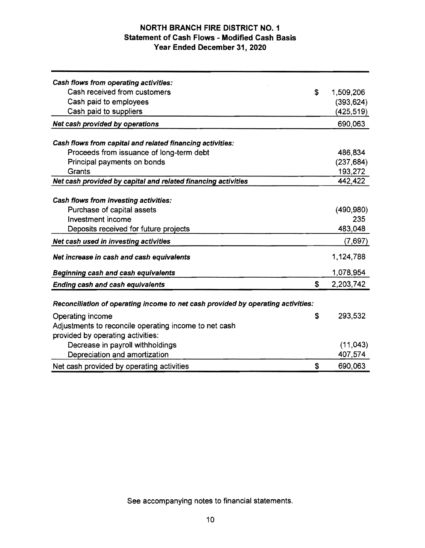# NORTH BRANCH FIRE DISTRICT NO. 1 Statement of Cash Flows - Modified Cash Basis Year Ended December 31, 2020

| Cash flows from operating activities:                                            |                 |
|----------------------------------------------------------------------------------|-----------------|
| Cash received from customers                                                     | \$<br>1,509,206 |
| Cash paid to employees                                                           | (393, 624)      |
| Cash paid to suppliers                                                           | (425,519)       |
| Net cash provided by operations                                                  | 690,063         |
| Cash flows from capital and related financing activities:                        |                 |
|                                                                                  |                 |
| Proceeds from issuance of long-term debt                                         | 486,834         |
| Principal payments on bonds                                                      | (237, 684)      |
| Grants                                                                           | 193,272         |
| Net cash provided by capital and related financing activities                    | 442,422         |
|                                                                                  |                 |
| Cash flows from investing activities:                                            |                 |
| Purchase of capital assets                                                       | (490, 980)      |
| Investment income                                                                | 235             |
| Deposits received for future projects                                            | 483,048         |
| Net cash used in investing activities                                            | (7,697)         |
| Net increase in cash and cash equivalents                                        | 1,124,788       |
| <b>Beginning cash and cash equivalents</b>                                       | 1,078,954       |
| <b>Ending cash and cash equivalents</b>                                          | \$<br>2,203,742 |
|                                                                                  |                 |
| Reconciliation of operating income to net cash provided by operating activities: |                 |
| Operating income                                                                 | \$<br>293,532   |
| Adjustments to reconcile operating income to net cash                            |                 |
| provided by operating activities:                                                |                 |
| Decrease in payroll withholdings                                                 | (11, 043)       |
| Depreciation and amortization                                                    | 407,574         |
| Net cash provided by operating activities                                        | \$<br>690,063   |

See accompanying notes to financial statements.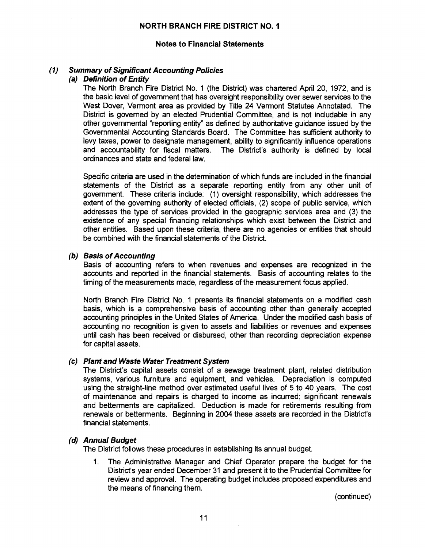### Notes to Financial Statements

# (1) Summary of Significant Accounting Policies

### (a) Definition of Entity

The North Branch Fire District No. 1 (the District) was chartered April 20, 1972, and is the basic level of government that has oversight responsibility over sewer services to the West Dover, Vermont area as provided by Title 24 Vermont Statutes Annotated. The District is governed by an elected Prudential Committee, and is not includable in any other governmental "reporting entity" as defined by authoritative guidance issued by the Governmental Accounting Standards Board. The Committee has sufficient authority to levy taxes, power to designate management, ability to significantly influence operations and accountability for fiscal matters. The District's authority is defined by local ordinances and state and federal law.

Specific criteria are used in the determination of which funds are included in the financial statements of the District as a separate reporting entity from any other unit of government. These criteria include: ( 1) oversight responsibility, which addresses the extent of the governing authority of elected officials, (2) scope of public service, which addresses the type of services provided in the geographic services area and (3) the existence of any special financing relationships which exist between the District and other entities. Based upon these criteria, there are no agencies or entities that should be combined with the financial statements of the District.

### (b) Basis of Accounting

Basis of accounting refers to when revenues and expenses are recognized in the accounts and reported in the financial statements. Basis of accounting relates to the timing of the measurements made, regardless of the measurement focus applied.

North Branch Fire District No. 1 presents its financial statements on a modified cash basis, which is a comprehensive basis of accounting other than generally accepted accounting principles in the United States of America. Under the modified cash basis of accounting no recognition is given to assets and liabilities or revenues and expenses until cash has been received or disbursed, other than recording depreciation expense for capital assets.

### (c) Plant and Waste Water Treatment System

The District's capital assets consist of a sewage treatment plant, related distribution systems, various furniture and equipment, and vehicles. Depreciation is computed using the straight-line method over estimated useful lives of 5 to 40 years. The cost of maintenance and repairs is charged to income as incurred; significant renewals and betterments are capitalized. Deduction is made for retirements resulting from renewals or betterments. Beginning in 2004 these assets are recorded in the District's financial statements.

### (d) Annual Budget

The District follows these procedures in establishing its annual budget.

1. The Administrative Manager and Chief Operator prepare the budget for the District's year ended December 31 and present it to the Prudential Committee for review and approval. The operating budget includes proposed expenditures and the means of financing them.

( continued)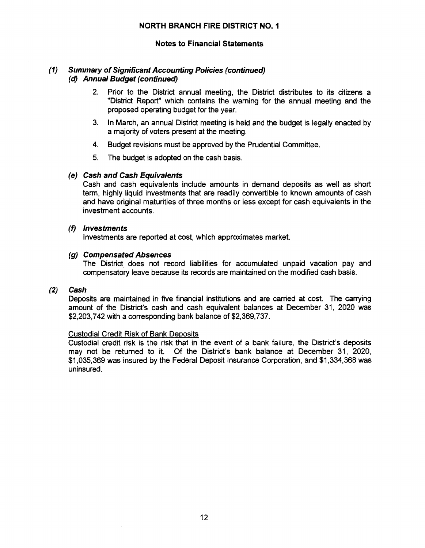### Notes to Financial Statements

### (1) Summary of Significant Accounting Policies (continued) (d) Annual Budget (continued)

- 2. Prior to the District annual meeting, the District distributes to its citizens a "District Report" which contains the warning for the annual meeting and the proposed operating budget for the year.
- 3. In March, an annual District meeting is held and the budget is legally enacted by a majority of voters present at the meeting.
- 4. Budget revisions must be approved by the Prudential Committee.
- 5. The budget is adopted on the cash basis.

### (e) Cash and Cash Equivalents

Cash and cash equivalents include amounts in demand deposits as well as short term, highly liquid investments that are readily convertible to known amounts of cash and have original maturities of three months or less except for cash equivalents in the investment accounts.

### (f) Investments

Investments are reported at cost, which approximates market.

### (g) Compensated Absences

The District. does not record liabilities for accumulated unpaid vacation pay and compensatory leave because its records are maintained on the modified cash basis.

### (2) Cash

Deposits are maintained in five financial institutions and are carried at cost. The carrying amount of the District's cash and cash equivalent balances at December 31, 2020 was \$2,203,742 with a corresponding bank balance of \$2,369,737.

#### Custodial Credit Risk of Bank Deposits

Custodial credit risk is the risk that in the event of a bank failure, the District's deposits may not be returned to it. Of the District's bank balance at December 31, 2020, \$1,035,369 was insured by the Federal Deposit Insurance Corporation, and \$1,334,368 was uninsured.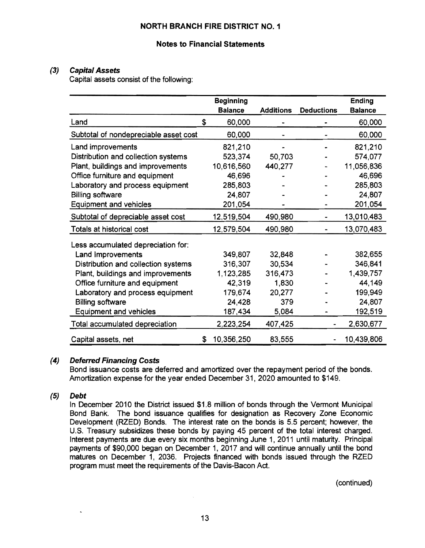### Notes to Financial Statements

### (3) Capital Assets

Capital assets consist of the following:

|                                       | <b>Beginning</b> |                  |                   | <b>Ending</b>  |
|---------------------------------------|------------------|------------------|-------------------|----------------|
|                                       | <b>Balance</b>   | <b>Additions</b> | <b>Deductions</b> | <b>Balance</b> |
| Land                                  | \$<br>60,000     |                  |                   | 60,000         |
| Subtotal of nondepreciable asset cost | 60,000           |                  |                   | 60,000         |
| Land improvements                     | 821,210          |                  |                   | 821,210        |
| Distribution and collection systems   | 523,374          | 50,703           |                   | 574,077        |
| Plant, buildings and improvements     | 10,616,560       | 440,277          |                   | 11,056,836     |
| Office furniture and equipment        | 46,696           |                  |                   | 46,696         |
| Laboratory and process equipment      | 285,803          |                  |                   | 285,803        |
| <b>Billing software</b>               | 24,807           |                  |                   | 24,807         |
| Equipment and vehicles                | 201,054          |                  |                   | 201,054        |
| Subtotal of depreciable asset cost    | 12,519,504       | 490,980          |                   | 13,010,483     |
| Totals at historical cost             | 12,579,504       | 490,980          | $\blacksquare$    | 13,070,483     |
| Less accumulated depreciation for:    |                  |                  |                   |                |
| Land Improvements                     | 349,807          | 32,848           |                   | 382,655        |
| Distribution and collection systems   | 316,307          | 30,534           |                   | 346,841        |
| Plant, buildings and improvements     | 1,123,285        | 316,473          |                   | 1,439,757      |
| Office furniture and equipment        | 42,319           | 1,830            |                   | 44,149         |
| Laboratory and process equipment      | 179,674          | 20,277           |                   | 199,949        |
| <b>Billing software</b>               | 24,428           | 379              |                   | 24,807         |
| <b>Equipment and vehicles</b>         | 187,434          | 5,084            |                   | 192,519        |
| Total accumulated depreciation        | 2,223,254        | 407,425          |                   | 2,630,677      |
| Capital assets, net                   | \$<br>10,356,250 | 83,555           |                   | 10,439,806     |

### (4) Deferred Financing Costs

Bond issuance costs are deferred and amortized over the repayment period of the bonds. Amortization expense for the year ended December 31, 2020 amounted to \$149.

### (5) Debt

In December 2010 the District issued \$1.8 million of bonds through the Vermont Municipal Bond Bank. The bond issuance qualifies for designation as Recovery Zone Economic Development (RZED) Bonds. The interest rate on the bonds is 5.5 percent; however, the U.S. Treasury subsidizes these bonds by paying 45 percent of the total interest charged. Interest payments are due every six months beginning June 1, 2011 until maturity. Principal payments of \$90,000 began on December 1, 2017 and will continue annually until the bond matures on December 1, 2036. Projects financed with bonds issued through the RZED program must meet the requirements of the Davis-Bacon Act.

( continued)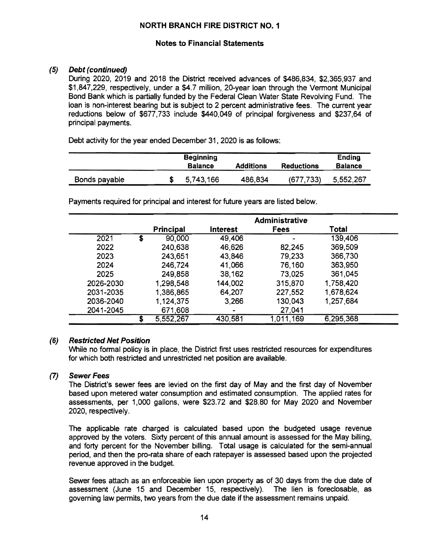## Notes to Financial Statements

## (5) Debt (continued)

During 2020, 2019 and 2018 the District received advances of \$486,834, \$2,365,937 and \$1,847,229, respectively, under a \$4.7 million, 20-year loan through the Vermont Municipal Bond Bank which is partially funded by the Federal Clean Water State Revolving Fund. The loan is non-interest bearing but is subject to 2 percent administrative fees. The current year reductions below of \$677,733 include \$440,049 of principal forgiveness and \$237,64 of principal payments.

Debt activity for the year ended December 31, 2020 is as follows:

|               | <b>Beginning</b><br><b>Balance</b> | <b>Additions</b> | <b>Reductions</b> | <b>Ending</b><br><b>Balance</b> |
|---------------|------------------------------------|------------------|-------------------|---------------------------------|
| Bonds payable | 5,743,166                          | 486.834          | (677, 733)        | 5,552,267                       |

Payments required for principal and interest for future years are listed below.

|           |    |                  |                | <b>Administrative</b> |           |  |
|-----------|----|------------------|----------------|-----------------------|-----------|--|
|           |    | <b>Principal</b> | Interest       | <b>Fees</b>           | Total     |  |
| 2021      | \$ | 90,000           | 49,406         |                       | 139,406   |  |
| 2022      |    | 240,638          | 46,626         | 82,245                | 369,509   |  |
| 2023      |    | 243,651          | 43,846         | 79,233                | 366,730   |  |
| 2024      |    | 246,724          | 41,066         | 76,160                | 363,950   |  |
| 2025      |    | 249,858          | 38,162         | 73,025                | 361,045   |  |
| 2026-2030 |    | 1,298,548        | 144,002        | 315,870               | 1,758,420 |  |
| 2031-2035 |    | 1,386,865        | 64,207         | 227,552               | 1,678,624 |  |
| 2036-2040 |    | 1,124,375        | 3,266          | 130,043               | 1,257,684 |  |
| 2041-2045 |    | 671,608          | $\blacksquare$ | 27,041                |           |  |
|           | S  | 5,552,267        | 430,581        | 1,011,169             | 6,295,368 |  |

### (6) Restricted Net Position

While no formal policy is in place, the District first uses restricted resources for expenditures for which both restricted and unrestricted net position are available.

### *(7)* Sewer Fees

The District's sewer fees are levied on the first day of May and the first day of November based upon metered water consumption and estimated consumption. The applied rates for assessments, per 1,000 gallons, were \$23.72 and \$28.80 for May 2020 and November 2020, respectively.

The applicable rate charged is calculated based upon the budgeted usage revenue approved by the voters. Sixty percent of this annual amount is assessed for the May billing, and forty percent for the November billing. Total usage is calculated for the semi-annual period, and then the pro-rata share of each ratepayer is assessed based upon the projected revenue approved in the budget.

Sewer fees attach as an enforceable lien upon property as of 30 days from the due date of assessment (June 15 and December 15, respectively). The lien is foreclosable, as governing law permits, two years from the due date if the assessment remains unpaid.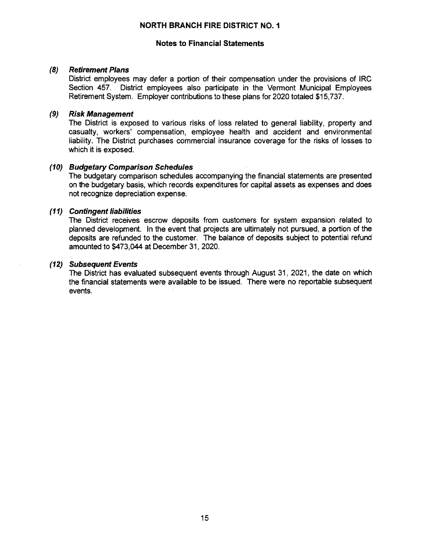### Notes to Financial Statements

### (8) Retirement Plans

District employees may defer a portion of their compensation under the provisions of IRC Section 457. District employees also participate in the Vermont Municipal Employees Retirement System. Employer contributions to these plans for 2020 totaled \$15,737.

### (9) Risk Management

The District is exposed to various risks of loss related to general liability, property and casualty, workers' compensation, employee health and accident and environmental liability. The District purchases commercial insurance coverage for the risks of losses to which it is exposed.

### (10) Budgetary Comparison Schedules

The budgetary comparison schedules accompanying the financial statements are presented on the budgetary basis, which records expenditures for capital assets as expenses and does not recognize depreciation expense.

### (11) Contingent liabilities

The District receives escrow deposits from customers for system expansion related to planned development. In the event that projects are ultimately not pursued, a portion of the deposits are refunded to the customer. The balance of deposits subject to potential refund amounted to \$473,044 at December 31, 2020.

#### (12) Subsequent Events

The District has evaluated subsequent events through August 31, 2021, the date on which the financial statements were available to be issued. There were no reportable subsequent events.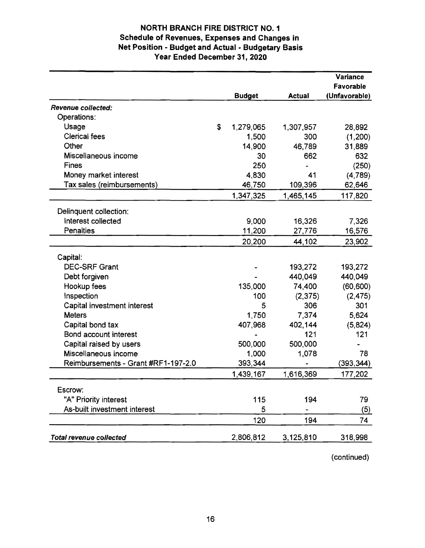# NORTH BRANCH FIRE DISTRICT N0.1 Schedule of Revenues, Expenses and Changes in Net Position - Budget and Actual • Budgetary Basis Year Ended December 31, 2020

|                                     |                 |               | <b>Variance</b><br>Favorable |
|-------------------------------------|-----------------|---------------|------------------------------|
|                                     | <b>Budget</b>   | <b>Actual</b> | (Unfavorable)                |
| Revenue collected:                  |                 |               |                              |
| Operations:                         |                 |               |                              |
| Usage                               | \$<br>1,279,065 | 1,307,957     | 28,892                       |
| <b>Clerical fees</b>                | 1,500           | 300           | (1,200)                      |
| Other                               | 14,900          | 46,789        | 31,889                       |
| Miscellaneous income                | 30              | 662           | 632                          |
| <b>Fines</b>                        | 250             |               | (250)                        |
| Money market interest               | 4,830           | 41            | (4,789)                      |
| Tax sales (reimbursements)          | 46,750          | 109,396       | 62,646                       |
|                                     | 1,347,325       | 1,465,145     | 117,820                      |
| Delinquent collection:              |                 |               |                              |
| Interest collected                  | 9,000           | 16,326        | 7,326                        |
| Penalties                           | 11,200          | 27,776        | 16,576                       |
|                                     | 20,200          | 44,102        | 23,902                       |
| Capital:                            |                 |               |                              |
| <b>DEC-SRF Grant</b>                |                 | 193,272       | 193,272                      |
| Debt forgiven                       |                 | 440,049       | 440,049                      |
| Hookup fees                         | 135,000         | 74,400        | (60, 600)                    |
| Inspection                          | 100             | (2, 375)      | (2, 475)                     |
| Capital investment interest         | 5               | 306           | 301                          |
| <b>Meters</b>                       | 1,750           | 7,374         | 5,624                        |
| Capital bond tax                    | 407,968         | 402,144       | (5,824)                      |
| Bond account interest               |                 | 121           | 121                          |
| Capital raised by users             | 500,000         | 500,000       |                              |
| Miscellaneous income                | 1,000           | 1,078         | 78                           |
| Reimbursements - Grant #RF1-197-2.0 | 393,344         |               | (393, 344)                   |
|                                     | 1,439,167       | 1,616,369     | 177,202                      |
| Escrow:                             |                 |               |                              |
| "A" Priority interest               | 115             | 194           | 79                           |
| As-built investment interest        | 5               |               | (5)                          |
|                                     | 120             | 194           | 74                           |
| Total revenue collected             | 2,806,812       | 3,125,810     | 318,998                      |

( continued)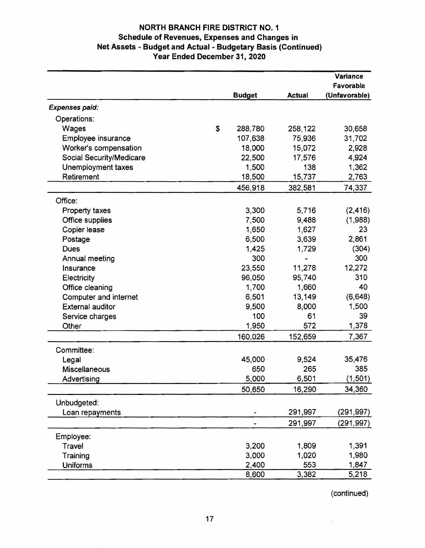# NORTH BRANCH FIRE DISTRICT NO. 1 Schedule of Revenues, Expenses and Changes in Net Assets - Budget and Actual - Budgetary Basis (Continued) Year Ended December 31, 2020

|                                 |               |               | Variance                   |
|---------------------------------|---------------|---------------|----------------------------|
|                                 | <b>Budget</b> | <b>Actual</b> | Favorable<br>(Unfavorable) |
| <b>Expenses paid:</b>           |               |               |                            |
| Operations:                     |               |               |                            |
| Wages                           | \$<br>288,780 | 258,122       | 30,658                     |
| Employee insurance              | 107,638       | 75,936        | 31,702                     |
| Worker's compensation           | 18,000        | 15,072        | 2,928                      |
| <b>Social Security/Medicare</b> | 22,500        | 17,576        | 4,924                      |
| Unemployment taxes              | 1,500         | 138           | 1,362                      |
| Retirement                      | 18,500        | 15,737        | 2,763                      |
|                                 | 456,918       | 382,581       | 74,337                     |
| Office:                         |               |               |                            |
| Property taxes                  | 3,300         | 5,716         | (2, 416)                   |
| <b>Office supplies</b>          | 7,500         | 9,488         | (1,988)                    |
| Copier lease                    | 1,650         | 1,627         | 23                         |
| Postage                         | 6,500         | 3,639         | 2,861                      |
| <b>Dues</b>                     | 1,425         | 1,729         | (304)                      |
| Annual meeting                  | 300           |               | 300                        |
| Insurance                       | 23,550        | 11,278        | 12,272                     |
| Electricity                     | 96,050        | 95,740        | 310                        |
| Office cleaning                 | 1,700         | 1,660         | 40                         |
| Computer and internet           | 6,501         | 13,149        | (6,648)                    |
| <b>External auditor</b>         | 9,500         | 8,000         | 1,500                      |
| Service charges                 | 100           | 61            | 39                         |
| Other                           | 1,950         | 572           | 1,378                      |
|                                 | 160,026       | 152,659       | 7,367                      |
|                                 |               |               |                            |
| Committee:                      | 45,000        | 9,524         | 35,476                     |
| Legal<br><b>Miscellaneous</b>   | 650           | 265           | 385                        |
|                                 | 5,000         | 6,501         | (1,501)                    |
| Advertising                     | 50,650        | 16,290        | 34,360                     |
|                                 |               |               |                            |
| Unbudgeted:                     |               | 291,997       | (291,997)                  |
| Loan repayments                 |               |               |                            |
|                                 |               | 291,997       | (291,997)                  |
| Employee:                       |               |               |                            |
| Travel                          | 3,200         | 1,809         | 1,391                      |
| Training                        | 3,000         | 1,020         | 1,980                      |
| <b>Uniforms</b>                 | 2,400         | 553           | 1,847                      |
|                                 | 8,600         | 3,382         | 5,218                      |

( continued)

l,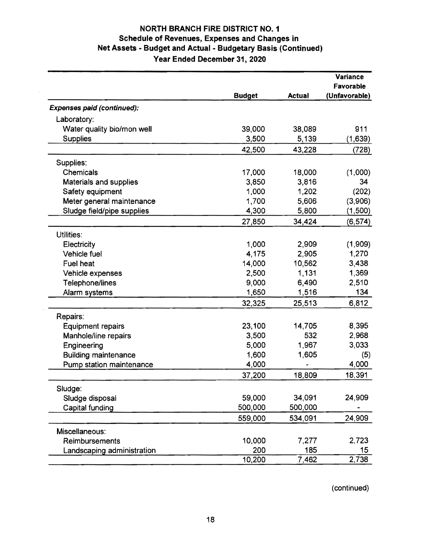# NORTH BRANCH FIRE DISTRICT NO. 1 Schedule of Revenues, Expenses and Changes in Net Assets - Budget and Actual - Budgetary Basis (Continued) Year Ended December 31, 2020

|                                   |               |               | Variance<br>Favorable |
|-----------------------------------|---------------|---------------|-----------------------|
|                                   | <b>Budget</b> | <b>Actual</b> | (Unfavorable)         |
| <b>Expenses paid (continued):</b> |               |               |                       |
| Laboratory:                       |               |               |                       |
| Water quality bio/mon well        | 39,000        | 38,089        | 911                   |
| <b>Supplies</b>                   | 3,500         | 5,139         | (1,639)               |
|                                   | 42,500        | 43,228        | (728)                 |
| Supplies:                         |               |               |                       |
| Chemicals                         | 17,000        | 18,000        | (1,000)               |
| Materials and supplies            | 3,850         | 3,816         | 34                    |
| Safety equipment                  | 1,000         | 1,202         | (202)                 |
| Meter general maintenance         | 1,700         | 5,606         | (3,906)               |
| Sludge field/pipe supplies        | 4,300         | 5,800         | (1,500)               |
|                                   | 27,850        | 34,424        | (6, 574)              |
| Utilities:                        |               |               |                       |
| Electricity                       | 1,000         | 2,909         | (1,909)               |
| Vehicle fuel                      | 4,175         | 2,905         | 1,270                 |
| Fuel heat                         | 14,000        | 10,562        | 3,438                 |
| Vehicle expenses                  | 2,500         | 1,131         | 1,369                 |
| Telephone/lines                   | 9,000         | 6,490         | 2,510                 |
| Alarm systems                     | 1,650         | 1,516         | 134                   |
|                                   | 32,325        | 25,513        | 6,812                 |
| Repairs:                          |               |               |                       |
| <b>Equipment repairs</b>          | 23,100        | 14,705        | 8,395                 |
| Manhole/line repairs              | 3,500         | 532           | 2,968                 |
| Engineering                       | 5,000         | 1,967         | 3,033                 |
| <b>Building maintenance</b>       | 1,600         | 1,605         | (5)                   |
| Pump station maintenance          | 4,000         |               | 4,000                 |
|                                   | 37,200        | 18,809        | 18,391                |
| Sludge:                           |               |               |                       |
| Sludge disposal                   | 59,000        | 34,091        | 24,909                |
| Capital funding                   | 500,000       | 500,000       |                       |
|                                   | 559,000       | 534,091       | 24,909                |
| Miscellaneous:                    |               |               |                       |
| Reimbursements                    | 10,000        | 7,277         | 2,723                 |
| Landscaping administration        | 200           | 185           | 15                    |
|                                   | 10,200        | 7,462         | 2,738                 |

( continued)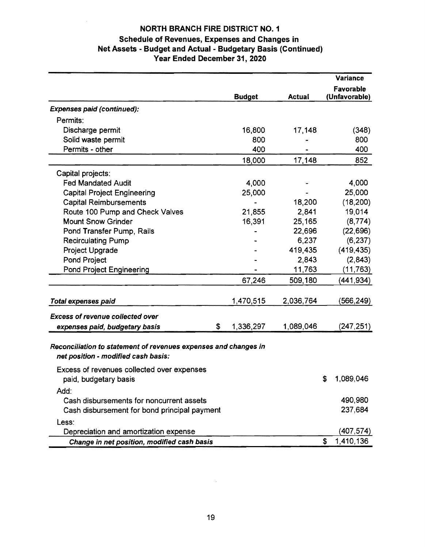# NORTH BRANCH FIRE DISTRICT NO. 1 Schedule of Revenues, Expenses and Changes in Net Assets - Budget and Actual - Budgetary Basis (Continued) Year Ended December 31, 2020

|                                                                                                        |               |               | <b>Variance</b>            |
|--------------------------------------------------------------------------------------------------------|---------------|---------------|----------------------------|
|                                                                                                        | <b>Budget</b> | <b>Actual</b> | Favorable<br>(Unfavorable) |
| <b>Expenses paid (continued):</b>                                                                      |               |               |                            |
| Permits:                                                                                               |               |               |                            |
| Discharge permit                                                                                       | 16,800        | 17,148        | (348)                      |
| Solid waste permit                                                                                     | 800           |               | 800                        |
| Permits - other                                                                                        | 400           |               | 400                        |
|                                                                                                        | 18,000        | 17,148        | 852                        |
| Capital projects:                                                                                      |               |               |                            |
| <b>Fed Mandated Audit</b>                                                                              | 4,000         |               | 4,000                      |
| <b>Capital Project Engineering</b>                                                                     | 25,000        |               | 25,000                     |
| <b>Capital Reimbursements</b>                                                                          |               | 18,200        | (18, 200)                  |
| Route 100 Pump and Check Valves                                                                        | 21,855        | 2,841         | 19,014                     |
| <b>Mount Snow Grinder</b>                                                                              | 16,391        | 25,165        | (8,774)                    |
| Pond Transfer Pump, Rails                                                                              |               | 22,696        | (22, 696)                  |
| <b>Recirculating Pump</b>                                                                              |               | 6,237         | (6, 237)                   |
| Project Upgrade                                                                                        |               | 419,435       | (419, 435)                 |
| Pond Project                                                                                           |               | 2,843         | (2, 843)                   |
| <b>Pond Project Engineering</b>                                                                        |               | 11,763        | (11, 763)                  |
|                                                                                                        | 67,246        | 509,180       | (441, 934)                 |
| Total expenses paid                                                                                    | 1,470,515     | 2,036,764     | (566,249)                  |
| <b>Excess of revenue collected over</b>                                                                |               |               |                            |
| \$<br>expenses paid, budgetary basis                                                                   | 1,336,297     | 1,089,046     | (247, 251)                 |
| Reconciliation to statement of revenues expenses and changes in<br>net position - modified cash basis: |               |               |                            |
| Excess of revenues collected over expenses<br>paid, budgetary basis                                    |               |               | \$<br>1,089,046            |
| Add:                                                                                                   |               |               |                            |
| Cash disbursements for noncurrent assets                                                               |               |               | 490,980                    |
| Cash disbursement for bond principal payment                                                           |               |               | 237,684                    |
| Less:                                                                                                  |               |               |                            |
| Depreciation and amortization expense                                                                  |               |               | (407, 574)                 |
| Change in net position, modified cash basis                                                            |               |               | \$<br>1,410,136            |

 $\sim$   $\sim$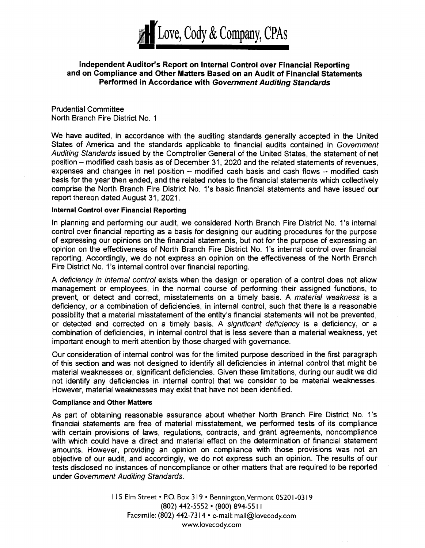

### Independent Auditor's Report on Internal Control over Financial Reporting and on Compliance and Other Matters Based on an Audit of Financial Statements Performed in Accordance with Government Auditing Standards

Prudential Committee North Branch Fire District No. 1

We have audited, in accordance with the auditing standards generally accepted in the United States of America and the standards applicable to financial audits contained in Government Auditing Standards issued by the Comptroller General of the United States, the statement of net position - modified cash basis as of December 31, 2020 and the related statements of revenues, expenses and changes in net position  $-$  modified cash basis and cash flows  $-$  modified cash basis for the year then ended, and the related notes to the financial statements which collectively comprise the North Branch Fire District No. 1 's basic financial statements and have issued our report thereon dated August 31, 2021.

#### Internal Control over Financial Reporting

In planning and performing our audit, we considered North Branch Fire District No. 1 's internal control over financial reporting as a basis for designing our auditing procedures for the purpose of expressing our opinions on the financial statements, but not for the purpose of expressing an opinion on the effectiveness of North Branch Fire District No. 1 's internal control over financial reporting. Accordingly, we do not express an opinion on the effectiveness of the North Branch Fire District No. 1's internal control over financial reporting.

A deficiency in internal control exists when the design or operation of a control does not allow management or employees, in the normal course of performing their assigned functions, to prevent, or detect and correct, misstatements on a timely basis. A material weakness is a deficiency, or a combination of deficiencies, in internal control, such that there is a reasonable possibility that a material misstatement of the entity's financial statements will not be prevented, or detected and corrected on a timely basis. A significant deficiency is a deficiency, or a combination of deficiencies, in internal control that is less severe than a material weakness, yet important enough to merit attention by those charged with governance.

Our consideration of internal control was for the limited purpose described in the first paragraph of this section and was not designed to identify all deficiencies in intemal control that might be material weaknesses or, significant deficiencies. Given these limitations, during our audit we did not identify any deficiencies in internal control that we consider to be material weaknesses. However, material weaknesses may exist that have not been identified.

#### Compliance and Other Matters

As part of obtaining reasonable assurance about whether North Branch Fire District No. 1's financial statements are free of material misstatement, we performed tests of its compliance with certain provisions of laws, regulations, contracts, and grant agreements, noncompliance with which could have a direct and material effect on the determination of financial statement amounts. However, providing an opinion on compliance with those provisions was not an objective of our audit, and accordingly, we do not express such an opinion. The results of our tests disclosed no instances of noncompliance or other matters that are required to be reported under Government Auditing Standards.

> 115 Elm Street• P.O. Box 319 • Bennington.Vermont 05201-0319 (802) 442-5552 • (800) 894-551 I Facsimile: (802) 442-7314 • e-mail: mail@lovecody.com www.lovecody.com